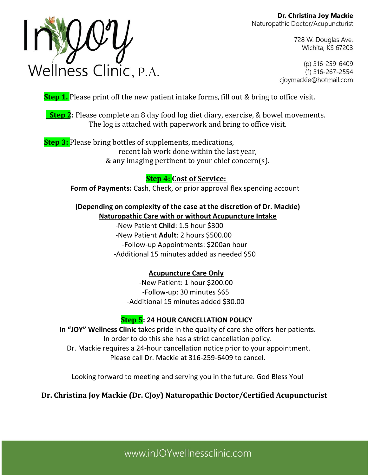**Dr. Christina Joy Mackie** Naturopathic Doctor/Acupuncturist

> 728 W. Douglas Ave. Wichita, KS 67203

(p) 316-259-6409 (f) 316-267-2554 cjoymackie@hotmail.com

**Step 1.** Please print off the new patient intake forms, fill out & bring to office visit.

**Step 2:** Please complete an 8 day food log diet diary, exercise, & bowel movements. The log is attached with paperwork and bring to office visit.

**Step 3:** Please bring bottles of supplements, medications, recent lab work done within the last year, & any imaging pertinent to your chief concern(s).

Wellness Clinic, P.A.

## **Step 4: Cost of Service:**

**Form of Payments:** Cash, Check, or prior approval flex spending account

**(Depending on complexity of the case at the discretion of Dr. Mackie) Naturopathic Care with or without Acupuncture Intake**

-New Patient **Child**: 1.5 hour \$300

-New Patient **Adult**: 2 hours \$500.00

-Follow-up Appointments: \$200an hour

-Additional 15 minutes added as needed \$50

## **Acupuncture Care Only**

-New Patient: 1 hour \$200.00 -Follow-up: 30 minutes \$65 -Additional 15 minutes added \$30.00

## **Step 5: 24 HOUR CANCELLATION POLICY**

**In "JOY" Wellness Clinic** takes pride in the quality of care she offers her patients. In order to do this she has a strict cancellation policy. Dr. Mackie requires a 24-hour cancellation notice prior to your appointment. Please call Dr. Mackie at 316-259-6409 to cancel.

Looking forward to meeting and serving you in the future. God Bless You!

**Dr. Christina Joy Mackie (Dr. CJoy) Naturopathic Doctor/Certified Acupuncturist**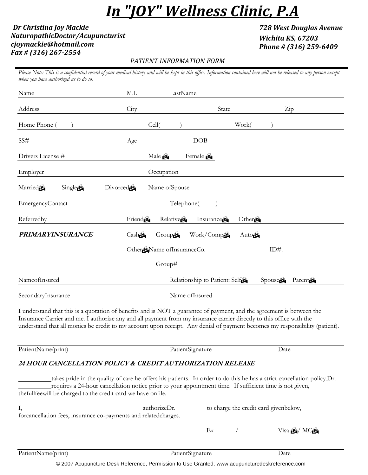# *In "JOY" Wellness Clinic, P.A*

### *Dr Christina Joy Mackie NaturopathicDoctor/Acupuncturist [cjoymackie@hotmail.com](mailto:cjoymackie@hotmail.com) Fax # (316) 267-2554*

### *728 West Douglas Avenue Wichita KS, 67203 Phone # (316) 259-6409*

### *PATIENT INFORMATION FORM*

| Please Note: This is a confidential record of your medical history and will be kept in this office. Information contained here will not be released to any person except |  |
|--------------------------------------------------------------------------------------------------------------------------------------------------------------------------|--|
| when you have authorized us to do so.                                                                                                                                    |  |

| Name                    |                  | M.I.     |                               | LastName                                                                                                                                                                                                                                      |       |                     |                                                                                                                             |
|-------------------------|------------------|----------|-------------------------------|-----------------------------------------------------------------------------------------------------------------------------------------------------------------------------------------------------------------------------------------------|-------|---------------------|-----------------------------------------------------------------------------------------------------------------------------|
| Address                 |                  | City     |                               | State                                                                                                                                                                                                                                         |       |                     | $\mathop{\mathrm{Zip}}$                                                                                                     |
| Home Phone (            |                  |          | Cell(                         |                                                                                                                                                                                                                                               | Work( |                     |                                                                                                                             |
| SS#                     |                  | Age      |                               | DOB                                                                                                                                                                                                                                           |       |                     |                                                                                                                             |
| Drivers License #       |                  |          | Male                          | Female &                                                                                                                                                                                                                                      |       |                     |                                                                                                                             |
| Employer                |                  |          | Occupation                    |                                                                                                                                                                                                                                               |       |                     |                                                                                                                             |
| Married                 | Single           | Divorced | Name of Spouse                |                                                                                                                                                                                                                                               |       |                     |                                                                                                                             |
| <b>EmergencyContact</b> |                  |          |                               | Telephone(                                                                                                                                                                                                                                    |       |                     |                                                                                                                             |
| Referredby              |                  | Friend   | Relative                      | Insurance                                                                                                                                                                                                                                     | Other |                     |                                                                                                                             |
|                         | PRIMARYINSURANCE | Cash     | Group                         | Work/Comp $\mathbf{\mathcal{E}}$                                                                                                                                                                                                              | Auto  |                     |                                                                                                                             |
|                         |                  |          | Other & Name of Insurance Co. |                                                                                                                                                                                                                                               |       | ID#.                |                                                                                                                             |
|                         |                  |          | Group#                        |                                                                                                                                                                                                                                               |       |                     |                                                                                                                             |
| NameofInsured           |                  |          |                               | Relationship to Patient: Self                                                                                                                                                                                                                 |       | Spouse <sup>8</sup> | Parent                                                                                                                      |
| SecondaryInsurance      |                  |          |                               | Name of Insured                                                                                                                                                                                                                               |       |                     |                                                                                                                             |
|                         |                  |          |                               | I understand that this is a quotation of benefits and is NOT a guarantee of payment, and the agreement is between the<br>Insurance Carrier and me. I authorize any and all payment from my insurance carrier directly to this office with the |       |                     | understand that all monies be credit to my account upon receipt. Any denial of payment becomes my responsibility (patient). |

| PatientName(print)                                              | PatientSignature                                                                                                                                                                                                                   | Date                                   |
|-----------------------------------------------------------------|------------------------------------------------------------------------------------------------------------------------------------------------------------------------------------------------------------------------------------|----------------------------------------|
|                                                                 | 24 HOUR CANCELLATION POLICY & CREDIT AUTHORIZATION RELEASE                                                                                                                                                                         |                                        |
| thefullfeewill be charged to the credit card we have onfile.    | takes pride in the quality of care he offers his patients. In order to do this he has a strict cancellation policy. Dr.<br>requires a 24-hour cancellation notice prior to your appointment time. If sufficient time is not given, |                                        |
| forcancellation fees, insurance co-payments and relatedcharges. | authorizeDr.                                                                                                                                                                                                                       | to charge the credit card given below, |

 $\text{Ex}$  / Visa  $\frac{\mathscr{E}}{\mathscr{E}}$  / MC $\frac{\mathscr{E}}{\mathscr{E}}$ 

© 2007 Acupuncture Desk Reference, Permission to Use Granted; [www.acupuncturedeskreference.com](http://www.acupuncturedeskreference.com/)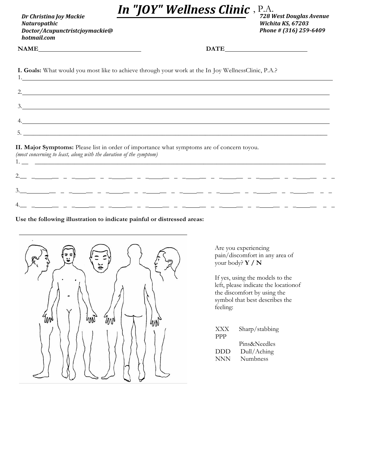*Dr Christina Joy Mackie Naturopathic Doctor/Acupunctris[tcjoymackie@](mailto:cjoymackie@hotmail.com) [hotmail.com](mailto:cjoymackie@hotmail.com)*

*728 West Douglas Avenue Wichita KS, 67203 Phone # (316) 259-6409*  $P.A.$ 

| <b>NAME</b> | <b>DATE</b> |
|-------------|-------------|

**I. Goals:** What would you most like to achieve through your work at the In Joy WellnessClinic, P.A.?

| $\mathcal{Z}$ | <u> 1980 - Jan Samuel Barbara, martin da shekara 1980 - An tsara 1980 - An tsara 1980 - An tsara 1980 - An tsara</u>   |
|---------------|------------------------------------------------------------------------------------------------------------------------|
|               | <u> 1980 - John Stein, Amerikaansk politiker (* 1918)</u>                                                              |
|               | <u> 1980 - Jan Samuel Barbara, margaret e populazion del control del control del control del control de la control</u> |
|               | II. Major Symptoms: Please list in order of importance what symptoms are of concern toyou.                             |
|               | (most concerning to least, along with the duration of the symptom)                                                     |

3.\_\_ \_\_ \_ \_ \_\_ \_ \_ \_\_ \_ \_ \_\_ \_ \_ \_\_ \_ \_ \_\_ \_ \_ \_\_ \_ \_ \_\_ \_ \_

2.\_\_ \_ \_\_ \_ \_ \_\_ \_ \_ \_\_ \_ \_ \_\_ \_ \_ \_\_ \_ \_ \_\_ \_ \_ \_\_ \_ \_ \_\_ \_ \_

4.\_\_ \_ \_\_ \_ \_ \_\_ \_ \_ \_\_ \_ \_ \_\_ \_ \_ \_\_ \_ \_ \_\_ \_ \_ \_\_ \_ \_ \_\_ \_ \_

**Use the following illustration to indicate painful or distressed areas:**



Are you experiencing pain/discomfort in any area of your body? **Y / N**

If yes, using the models to the left, please indicate the locationof the discomfort by using the symbol that best describes the feeling:

| <b>XXX</b> | Sharp/stabbing |
|------------|----------------|
| <b>PPP</b> |                |
|            | Pins&Needles   |
| <b>DDD</b> | Dull/Aching    |
| <b>NNN</b> | Numbness       |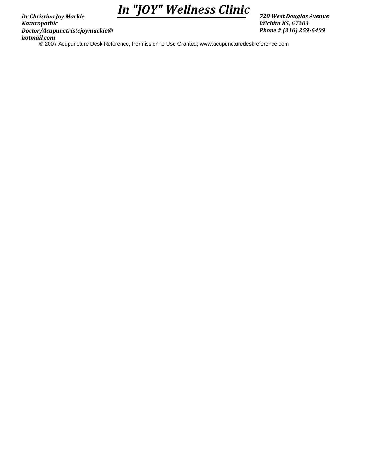*In "JOY" Wellness Clinic*

*Dr Christina Joy Mackie Naturopathic Doctor/Acupunctris[tcjoymackie@](mailto:cjoymackie@hotmail.com) [hotmail.com](mailto:cjoymackie@hotmail.com)*

*728 West Douglas Avenue Wichita KS, 67203 Phone # (316) 259-6409*

*Fax # (316) 267* © 2007 Acupuncture Desk Reference, Permission to Use Granted; *-2554* [www.acupuncturedeskreference.com](http://www.acupuncturedeskreference.com/)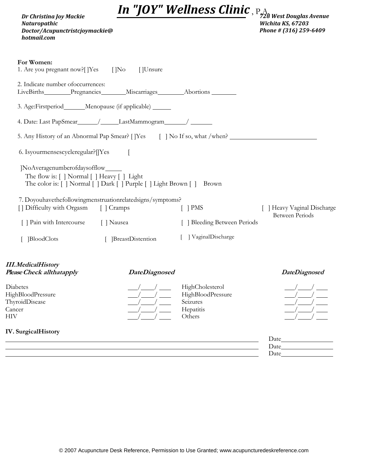| <b>Dr Christina Joy Mackie</b><br><b>Naturopathic</b><br>Doctor/Acupunctristcjoymackie@<br>hotmail.com                                                 |                       | In "JOY" Wellness Clinic, $P_{728\text{ West Douglas Avenue}}$                                       | Wichita KS, 67203<br>Phone # (316) 259-6409                                                                                                                                                                                                                                                                                                                                                                               |  |  |
|--------------------------------------------------------------------------------------------------------------------------------------------------------|-----------------------|------------------------------------------------------------------------------------------------------|---------------------------------------------------------------------------------------------------------------------------------------------------------------------------------------------------------------------------------------------------------------------------------------------------------------------------------------------------------------------------------------------------------------------------|--|--|
| For Women:<br>1. Are you pregnant now? [Yes [No] [Unsure                                                                                               |                       |                                                                                                      |                                                                                                                                                                                                                                                                                                                                                                                                                           |  |  |
| 2. Indicate number of occurrences:<br>LiveBirths Pregnancies Miscarriages Abortions                                                                    |                       |                                                                                                      |                                                                                                                                                                                                                                                                                                                                                                                                                           |  |  |
| 3. Age:Firstperiod______Menopause (if applicable) _____                                                                                                |                       |                                                                                                      |                                                                                                                                                                                                                                                                                                                                                                                                                           |  |  |
| 4. Date: Last PapSmear________/_______LastMammogram________/ ________                                                                                  |                       |                                                                                                      |                                                                                                                                                                                                                                                                                                                                                                                                                           |  |  |
|                                                                                                                                                        |                       | 5. Any History of an Abnormal Pap Smear? [JYes [] No If so, what /when? ____________________________ |                                                                                                                                                                                                                                                                                                                                                                                                                           |  |  |
| 6. Isyourmensescycleregular?   Yes                                                                                                                     |                       |                                                                                                      |                                                                                                                                                                                                                                                                                                                                                                                                                           |  |  |
| [NoAveragenumberofdaysofflow_<br>The flow is: [ ] Normal [ ] Heavy [ ] Light<br>The color is: [ ] Normal [ ] Dark [ ] Purple [ ] Light Brown [ ] Brown |                       |                                                                                                      |                                                                                                                                                                                                                                                                                                                                                                                                                           |  |  |
| 7. Doyouhavethefollowingmenstruationrelatedsigns/symptoms?                                                                                             |                       |                                                                                                      |                                                                                                                                                                                                                                                                                                                                                                                                                           |  |  |
| [] Difficulty with Orgasm [] Cramps                                                                                                                    |                       | $[$   PMS                                                                                            | [ ] Heavy Vaginal Discharge<br><b>Between Periods</b>                                                                                                                                                                                                                                                                                                                                                                     |  |  |
| [ ] Pain with Intercourse [ ] Nausea                                                                                                                   |                       | [ ] Bleeding Between Periods                                                                         |                                                                                                                                                                                                                                                                                                                                                                                                                           |  |  |
| [ ]BloodClots                                                                                                                                          | [ ]BreastDistention   | VaginalDischarge                                                                                     |                                                                                                                                                                                                                                                                                                                                                                                                                           |  |  |
| <b>III.MedicalHistory</b><br><b>Please Check allthatapply</b>                                                                                          | <b>DateDiagnosed</b>  |                                                                                                      | <b>DateDiagnosed</b>                                                                                                                                                                                                                                                                                                                                                                                                      |  |  |
| Diabetes<br>HighBloodPressure<br>ThyroidDisease                                                                                                        | $\frac{-}{\sqrt{-1}}$ | HighCholesterol<br>HighBloodPressure<br>Seizures                                                     | $\frac{\frac{1}{1-\frac{1}{1-\frac{1}{1-\frac{1}{1-\frac{1}{1-\frac{1}{1-\frac{1}{1-\frac{1}{1-\frac{1}{1-\frac{1}{1-\frac{1}{1-\frac{1}{1-\frac{1}{1-\frac{1}{1-\frac{1}{1-\frac{1}{1-\frac{1}{1-\frac{1}{1-\frac{1}{1-\frac{1}{1-\frac{1}{1-\frac{1}{1-\frac{1}{1-\frac{1}{1-\frac{1}{1-\frac{1}{1-\frac{1}{1-\frac{1}{1-\frac{1}{1-\frac{1}{1-\frac{1}{1-\frac{1}{1-\frac{1}{1-\frac{1}{1-\frac{1}{1-\frac{1}{1-\frac$ |  |  |

### **IV. SurgicalHistory**

Cancer  $\frac{1}{\sqrt{2\pi}}$ HIV  $\frac{1}{\sqrt{2\pi}}$ 

Hepatitis  $\frac{1}{\sqrt{2\pi}}$ Others  $\frac{1}{\sqrt{2\pi}}$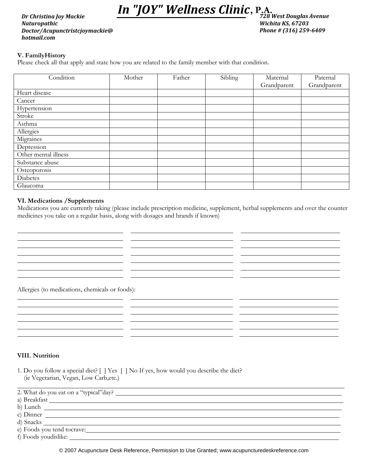*Dr Christina Joy Mackie Naturopathic Doctor/Acupunctris[tcjoymackie@](mailto:cjoymackie@hotmail.com) [hotmail.com](mailto:cjoymackie@hotmail.com)*

*In "JOY" Wellness Clinic 728 West Douglas Avenue*  **, P.A.**

*Wichita KS, 67203 Phone # (316) 259-6409*

#### **V. FamilyHistory**

Please check all that apply and state how you are related to the family member with that condition.

| Condition            | Mother | Father | Sibling | Maternal<br>Grandparent | Paternal<br>Grandparent |
|----------------------|--------|--------|---------|-------------------------|-------------------------|
| Heart disease        |        |        |         |                         |                         |
| Cancer               |        |        |         |                         |                         |
| Hypertension         |        |        |         |                         |                         |
| Stroke               |        |        |         |                         |                         |
| Asthma               |        |        |         |                         |                         |
| Allergies            |        |        |         |                         |                         |
| Migraines            |        |        |         |                         |                         |
| Depression           |        |        |         |                         |                         |
| Other mental illness |        |        |         |                         |                         |
| Substance abuse      |        |        |         |                         |                         |
| Osteoporosis         |        |        |         |                         |                         |
| Diabetes             |        |        |         |                         |                         |
| Glaucoma             |        |        |         |                         |                         |

#### **VI. Medications /Supplements**

Medications you are currently taking (please include prescription medicine, supplement, herbal supplements and over the counter medicines you take on a regular basis, along with dosages and brands if known)

<u> 1989 - Jan Barbara Barbara, política establecidad e a la propia de la propia de la propia de la propia de la</u>

 $\overline{\phantom{a}}$  and  $\overline{\phantom{a}}$  $\overline{\phantom{a}}$ 

<u> 1990 - Jacques Alexandro (h. 1980).</u> Antonio estadounidense e a contrar a construír a contrar a contrar a con <u> 1989 - Andrea Andrew Maria (h. 1989).</u><br>2001 - Andrew Maria (h. 1989).

<u> 1989 - Jan Barbara Barbara, política establecidad e a la propia de la propia de la propia de la propia de la</u>

Allergies (to medications, chemicals or foods):

<u> 1989 - Johann Barbara, martxa eta politikar</u>

#### **VIII. Nutrition**

1. Do you follow a special diet? [ ] Yes [ ] No If yes, how would you describe the diet? (ie Vegetarian, Vegan, Low Carb,etc.)

 $\mathbf{r}$  and  $\mathbf{r}$ 

| c) Dinner |
|-----------|
| d) Snacks |
|           |
|           |

© 2007 Acupuncture Desk Reference, Permission to Use Granted[; www.acupuncturedeskreference.com](http://www.acupuncturedeskreference.com/)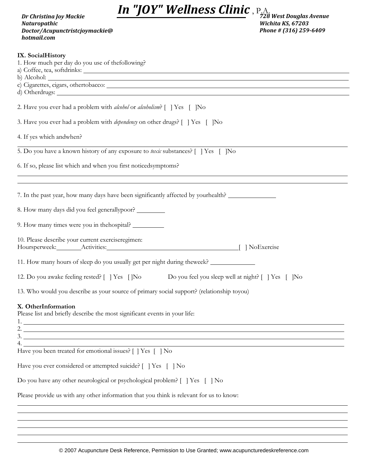*Dr Christina Joy Mackie Naturopathic Doctor/Acupunctris[tcjoymackie@](mailto:cjoymackie@hotmail.com) [hotmail.com](mailto:cjoymackie@hotmail.com)*

*In "JOY" Wellness Clinic 728 West Douglas Avenue*  , P.A.

*Wichita KS, 67203 Phone # (316) 259-6409*

| IX. SocialHistory<br>1. How much per day do you use of thefollowing?                                                                                                                                                                                                                                                                            |
|-------------------------------------------------------------------------------------------------------------------------------------------------------------------------------------------------------------------------------------------------------------------------------------------------------------------------------------------------|
|                                                                                                                                                                                                                                                                                                                                                 |
|                                                                                                                                                                                                                                                                                                                                                 |
| 2. Have you ever had a problem with <i>alcohol</i> or <i>alcoholism</i> ? [] Yes [] No                                                                                                                                                                                                                                                          |
| 3. Have you ever had a problem with <i>dependency</i> on other drugs? [ ] Yes [ ] No                                                                                                                                                                                                                                                            |
| 4. If yes which andwhen?                                                                                                                                                                                                                                                                                                                        |
| 5. Do you have a known history of any exposure to toxic substances? [] Yes [] No                                                                                                                                                                                                                                                                |
| 6. If so, please list which and when you first noticedsymptoms?<br><u> 1989 - Johann Stoff, amerikansk politiker (d. 1989)</u>                                                                                                                                                                                                                  |
|                                                                                                                                                                                                                                                                                                                                                 |
| 7. In the past year, how many days have been significantly affected by yourhealth?                                                                                                                                                                                                                                                              |
| 8. How many days did you feel generallypoor? _________                                                                                                                                                                                                                                                                                          |
| 9. How many times were you in the hospital?                                                                                                                                                                                                                                                                                                     |
| 10. Please describe your current exerciseregimen:<br>Hoursperweek: Activities: Activities: [ ] NoExercise                                                                                                                                                                                                                                       |
| 11. How many hours of sleep do you usually get per night during theweek? ______________                                                                                                                                                                                                                                                         |
| 12. Do you awake feeling rested? [ ] Yes [] No Do you feel you sleep well at night? [ ] Yes [ ] No                                                                                                                                                                                                                                              |
| 13. Who would you describe as your source of primary social support? (relationship toyou)                                                                                                                                                                                                                                                       |
| X. OtherInformation<br>Please list and briefly describe the most significant events in your life:<br>$\overline{\phantom{a}}$ . The contract of the contract of the contract of the contract of the contract of the contract of the contract of the contract of the contract of the contract of the contract of the contract of the contract of |
| $\frac{1}{2}$                                                                                                                                                                                                                                                                                                                                   |
| 4. Thave you been treated for emotional issues? [ ] Yes [ ] No                                                                                                                                                                                                                                                                                  |
| Have you ever considered or attempted suicide? [ ] Yes [ ] No                                                                                                                                                                                                                                                                                   |
| Do you have any other neurological or psychological problem? [   Yes [   No                                                                                                                                                                                                                                                                     |
| Please provide us with any other information that you think is relevant for us to know:                                                                                                                                                                                                                                                         |
|                                                                                                                                                                                                                                                                                                                                                 |
|                                                                                                                                                                                                                                                                                                                                                 |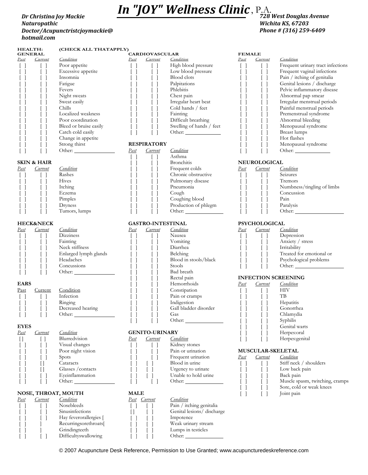## *In "JOY" Wellness Clinic 728 West Douglas Avenue*  , P.A.

**MALE**

#### *Dr Christina Joy Mackie Naturopathic Doctor/Acupunctris[tcjoymackie@](mailto:cjoymackie@hotmail.com) [hotmail.com](mailto:cjoymackie@hotmail.com)*

|                                        | hotmail.com                                 |                        |                                        |                                                             |                          |                                       |                                        |                            |
|----------------------------------------|---------------------------------------------|------------------------|----------------------------------------|-------------------------------------------------------------|--------------------------|---------------------------------------|----------------------------------------|----------------------------|
| <b>HEALTH:</b>                         | <b>GENERAL</b>                              | (CHECK ALL THATAPPLY)  |                                        | <b>CARDIOVASCULAR</b>                                       |                          | <b>FEMALE</b>                         |                                        |                            |
| Past                                   | Current                                     | Condition              | Past                                   | Current                                                     | Condition                | Past                                  | Current                                | Condition                  |
| $\begin{bmatrix} 1 \end{bmatrix}$      | $[\ ]$                                      | Poor appetite          | $\begin{bmatrix} \end{bmatrix}$        | $\Box$                                                      | High blood pressure      | $[\ ]$                                | $\Box$                                 | Frequent urinary tract     |
| $[\ ]$                                 | $\Box$                                      | Excessive appetite     | $\begin{bmatrix} \end{bmatrix}$        | $[\ ]$                                                      | Low blood pressure       | $\begin{bmatrix} 1 \end{bmatrix}$     | $\perp$                                | Frequent vaginal infer     |
| $[\ ]$                                 | $\Box$                                      | Insomnia               | $[ \ ]$                                | $[\ ]$                                                      | Blood clots              | $\begin{bmatrix} \end{bmatrix}$       | $\begin{bmatrix} \end{bmatrix}$        | Pain / itching of geni     |
| $[\ ]$                                 | $[\ ]$                                      | Fatigue                | $\Box$                                 | $\lceil \ \rceil$                                           | Palpitations             | $[\ ]$                                | $\Box$                                 | Genital lesions / discl    |
| $[\ ]$                                 |                                             | Fevers                 |                                        | $\Box$                                                      | Phlebitis                | $\Box$                                |                                        | Pelvic inflammatory d      |
| $[\ ]$                                 |                                             | Night sweats           |                                        | $[\ ]$                                                      | Chest pain               | $[\ ]$                                |                                        | Abnormal pap smear         |
| $[\ ]$                                 |                                             | Sweat easily           | $\Box$                                 | $\Box$                                                      | Irregular heart beat     | $[\ ]$                                | $[\ ]$                                 | Irregular menstrual pe     |
| $[ \ \ ]$                              |                                             | Chills                 |                                        | $[\ ]$                                                      | Cold hands / feet        | $[\ ]$                                |                                        | Painful menstrual per      |
| $[\ ]$                                 |                                             | Localized weakness     | $\Box$                                 | $\Box$                                                      | Fainting                 | $\Box$                                | $[\ ]$                                 | Premenstrual syndron       |
| $[\ ]$                                 |                                             | Poor coordination      | $\Box$                                 | $[\ ]$                                                      | Difficult breathing      | $\begin{bmatrix} \end{bmatrix}$       | $[\ ]$                                 | Abnormal bleeding          |
| $[\ ]$                                 |                                             | Bleed or bruise easily | $[ \ ]$                                | $[\ ]$                                                      | Swelling of hands / feet | $\begin{bmatrix} \end{bmatrix}$       | $[\ ]$                                 | Menopausal syndrom         |
| Γl                                     |                                             | Catch cold easily      | $\Box$                                 | $\Box$                                                      |                          | $\begin{bmatrix} \end{bmatrix}$       |                                        | Breast lumps               |
| $[\ ]$                                 |                                             | Change in appetite     |                                        |                                                             |                          | $\begin{bmatrix} \end{bmatrix}$       | $\Box$                                 | Hot flashes                |
| $[\ ]$                                 |                                             | Strong thirst          |                                        | <b>RESPIRATORY</b>                                          |                          | $[\ ]$                                |                                        | Menopausal syndrom         |
| $[\ ]$                                 | $\Box$                                      |                        | Past                                   | <b>Current</b>                                              | Condition                | $[ \ ]$                               | $\Box$                                 | Other:                     |
|                                        |                                             |                        | $\Box$                                 | $\Box$                                                      | Asthma                   |                                       |                                        |                            |
|                                        | <b>SKIN &amp; HAIR</b>                      |                        | $\Box$                                 | $\Box$                                                      | <b>Bronchitis</b>        |                                       | NEUROLOGICAL                           |                            |
| <u>Past</u>                            | <b>Current</b>                              | Condition              |                                        | $\begin{bmatrix} \end{bmatrix}$                             | Frequent colds           | Past                                  | Current                                | Condition                  |
| $[\ ]$                                 | $[ \ ]$                                     | Rashes                 |                                        | $[\ ]$                                                      | Chronic obstructive      | $\begin{bmatrix} \end{bmatrix}$       | $\Box$                                 | Seizures                   |
| $\begin{bmatrix} \end{bmatrix}$        | $\begin{bmatrix} \end{bmatrix}$             | Hives                  |                                        | $\Box$                                                      | Pulmonary disease        | $[\ ]$                                | $\begin{bmatrix} \end{bmatrix}$        | Tremors                    |
| $[\ ]$                                 | $\Box$                                      | Itching                |                                        | $\Box$                                                      | Pneumonia                | $\Box$                                | $\Box$                                 | Numbness/tingling o        |
| $[\ ]$                                 | $[ \ \ ]$                                   | Eczema                 |                                        | $[\ ]$                                                      | Cough                    |                                       | $[\ ]$                                 | Concussion                 |
| $[\ ]$                                 | $[\ ]$                                      | Pimples                | $\Box$                                 | $\Box$                                                      | Coughing blood           | $\begin{bmatrix} 1 \end{bmatrix}$     | $[\ ]$                                 | Pain                       |
| $[\ ]$                                 |                                             | Dryness                |                                        | $[\ ]$                                                      | Production of phlegm     | $[\ ]$                                | $[ \ ]$                                | Paralysis                  |
| $[\ ]$                                 | $\vert \ \ \vert$                           | Tumors, lumps          | $\Box$                                 | $\Box$                                                      |                          | $\begin{bmatrix} \end{bmatrix}$       | $\lceil \rceil$                        |                            |
|                                        | <b>HECK&amp;NECK</b>                        |                        |                                        | <b>GASTRO-INTESTINAL</b>                                    |                          |                                       | <b>PSYCHOLOGICAL</b>                   |                            |
| <u>Past</u>                            | <i>Current</i>                              | Condition              | Past                                   | <b>Current</b>                                              | Condition                | <u>Past</u>                           | <i>Current</i>                         | Condition                  |
| $[\ ]$                                 | $\begin{bmatrix} \end{bmatrix}$             | <b>Dizziness</b>       | $\Box$                                 | $\Box$                                                      | Nausea                   | $\begin{bmatrix} \end{bmatrix}$       | $[\ ]$                                 | Depression                 |
| $\begin{bmatrix} \end{bmatrix}$        | $[ \ ]$                                     | Fainting               | $\Box$                                 | $\begin{bmatrix} \end{bmatrix}$                             | Vomiting                 | $\Box$                                | $\begin{array}{c} \square \end{array}$ | Anxiety / stress           |
| $\begin{bmatrix} 1 \end{bmatrix}$      | $\Box$                                      | Neck stiffness         | $\Box$                                 | $\begin{array}{c} \begin{array}{c} \end{array} \end{array}$ | Diarrhea                 | $\Box$                                | $\Box$                                 | Irritability               |
| $[\ ]$                                 |                                             | Enlarged lymph glands  | $\Box$                                 | $[\ ]$                                                      | Belching                 | $[ \ ]$                               | $[\ ]$                                 | Treated for emotional      |
| $[\ ]$                                 | $[ \ ]$                                     | Headaches              | $[\ ]$                                 | $\lceil \rceil$                                             | Blood in stools/black    | $[\ ]$                                | $[\ ]$                                 | Psychological problen      |
| $\begin{bmatrix} \end{bmatrix}$        | $\Box$                                      | Concussions            | $\Box$                                 | $[\ ]$                                                      | Stools                   | $\begin{bmatrix} \end{bmatrix}$       | $\Box$                                 | Other:                     |
| $[\ ]$                                 | $\perp$                                     |                        | $[\ ]$                                 | $[\ ]$                                                      | Bad breath               |                                       |                                        |                            |
|                                        |                                             |                        | ΓT                                     | $\lceil \rceil$                                             | Rectal pain              |                                       |                                        | <b>INFECTION SCREENING</b> |
| <b>EARS</b>                            |                                             |                        |                                        | $\Box$                                                      | Hemorrhoids              | Past                                  | <i>Current</i>                         | Condition                  |
| <u>Past</u>                            | Current                                     | Condition              | $\begin{array}{c} \square \end{array}$ | $\Box$                                                      | Constipation             | $[\ ]$                                | $[ \ ]$                                | HIV                        |
| $\begin{bmatrix} \end{bmatrix}$        | $[ \ ]$                                     | Infection              | $[ \ ]$                                | $\begin{array}{c} \square \end{array}$                      | Pain or cramps           | $[\ ]$                                | $[\ ]$                                 | TB                         |
| $\begin{bmatrix} 1 \end{bmatrix}$      | $\left[\begin{array}{c}1\end{array}\right]$ | Ringing                |                                        | $[\ ]$                                                      | Indigestion              | $\begin{bmatrix} 1 & 1 \end{bmatrix}$ | $\begin{bmatrix} 1 \end{bmatrix}$      | Hepatitis                  |
| $[\ ]$                                 | $[ \quad ]$                                 | Decreased hearing      | $\Box$                                 | $\begin{array}{c} \square \end{array}$                      | Gall bladder disorder    | - 1                                   | $\Box$                                 | Gonorrhea                  |
| $[\ ]$                                 |                                             |                        |                                        | tΤ                                                          | Gas                      | $\Box$                                |                                        | Chlamydia                  |
|                                        |                                             |                        | $\Box$                                 | $\Box$                                                      |                          | $[\,\,\,]$                            |                                        | Syphilis                   |
| <b>EYES</b>                            |                                             |                        |                                        |                                                             |                          | $\Box$                                |                                        | Genital warts              |
| <u>Past</u>                            | <b>Current</b>                              | Condition              |                                        | <b>GENITO-URINARY</b>                                       |                          | $\Box$                                |                                        | Herpes:oral                |
| $\begin{array}{c} \square \end{array}$ | $\Box$                                      | Blurredvision          | Past                                   | <b>Current</b>                                              | <b>Condition</b>         | $\Box$                                | $\overline{\phantom{a}}$               | Herpes:genital             |
| $\Box$                                 | $\lfloor \ \rfloor$                         | Visual changes         | $\Box$                                 | $\Box$                                                      | Kidney stones            |                                       |                                        |                            |
| $[\ ]$                                 |                                             | Poor night vision      | $\Box$                                 | $\begin{bmatrix} \end{bmatrix}$                             | Pain or urination        |                                       |                                        | MUSCULAR-SKELETAL          |
| $[\ ]$                                 |                                             | Spots                  | $\blacksquare$                         | $\Box$                                                      | Frequent urination       | Past                                  | <b>Current</b>                         | Condition                  |
| $\Box$                                 | $\perp$                                     | Cataracts              |                                        |                                                             | Blood in urine           | $[\ ]$                                | τI                                     | Stiff neck / shoulders     |
| $\begin{array}{c} \square \end{array}$ | $\Box$                                      | Glasses / contacts     |                                        | $\Box$                                                      | Urgency to urinate       | $\begin{bmatrix} \end{bmatrix}$       | $\Box$                                 | Low back pain              |
| $\Box$                                 |                                             | Eyeinflammation        |                                        | $\Box$                                                      | Unable to hold urine     | $\lceil \rceil$                       | -1                                     | Back pain                  |
| $[\ ]$                                 | $\Box$                                      |                        | $[\ ]$                                 | $[\ ]$                                                      |                          | $[\ ]$                                |                                        | Muscle spasm, twitch       |
|                                        |                                             |                        |                                        |                                                             |                          |                                       |                                        | Sore, cold or weak kn      |

#### **NOSE, THROAT, MOUTH**

|      |               | NOSE, HIROAI, MOUTH    | <b>NALL</b>     |                            |  | тошт раш |
|------|---------------|------------------------|-----------------|----------------------------|--|----------|
| Past | <u>urrent</u> | Condition              | Past<br>Current | Condition                  |  |          |
|      |               | <b>Nosebleeds</b>      |                 | Pain / itching genitalia   |  |          |
|      |               | Sinusinfections        |                 | Genital lesions/ discharge |  |          |
|      |               | Hay feverorallergies [ |                 | Impotence                  |  |          |
|      |               | Recurringsorethroats[  |                 | Weak urinary stream        |  |          |
|      |               | Grindingteeth          |                 | Lumps in testicles         |  |          |
|      |               | Difficultyswallowing   |                 | Other:                     |  |          |

*Wichita KS, 67203 Phone # (316) 259-6409*

|            | jeneral        |                        |      | <b>CARDIOVASCULAR</b> |                                           | FEMALE |                     |                                   |
|------------|----------------|------------------------|------|-----------------------|-------------------------------------------|--------|---------------------|-----------------------------------|
| ast        | Current        | Condition              | Past | Current               | Condition                                 | Past   | Current             | Condition                         |
|            |                | Poor appetite          |      |                       | High blood pressure                       |        |                     | Frequent urinary tract infections |
|            |                | Excessive appetite     |      |                       | Low blood pressure                        |        |                     | Frequent vaginal infections       |
|            |                | Insomnia               |      |                       | Blood clots                               |        |                     | Pain / itching of genitalia       |
|            |                | Fatigue                |      |                       | Palpitations                              |        |                     | Genital lesions / discharge       |
|            |                | Fevers                 |      |                       | Phlebitis                                 |        |                     | Pelvic inflammatory disease       |
|            |                | Night sweats           |      |                       | Chest pain                                |        |                     | Abnormal pap smear                |
|            |                | Sweat easily           |      |                       | Irregular heart beat                      |        |                     | Irregular menstrual periods       |
|            |                | Chills                 |      |                       | Cold hands / feet                         |        |                     | Painful menstrual periods         |
|            |                | Localized weakness     |      |                       | Fainting                                  |        |                     | Premenstrual syndrome             |
|            |                | Poor coordination      |      |                       | Difficult breathing                       |        |                     | Abnormal bleeding                 |
|            |                | Bleed or bruise easily |      |                       | Swelling of hands / feet                  |        |                     | Menopausal syndrome               |
|            |                | Catch cold easily      |      |                       | Other: $\_\_\_\_\_\_\_\_\_\_\_\_\_\_\_\_$ |        |                     | Breast lumps                      |
|            |                | Change in appetite     |      |                       |                                           |        |                     | Hot flashes                       |
|            |                | Strong thirst          |      | <b>RESPIRATORY</b>    |                                           |        |                     | Menopausal syndrome               |
|            |                | Other:                 | Past | Current               | Condition                                 |        |                     | Other:                            |
|            |                |                        |      |                       | Asthma                                    |        |                     |                                   |
|            | KIN & HAIR     |                        |      |                       | <b>Bronchitis</b>                         |        | <b>NEUROLOGICAL</b> |                                   |
| <u>ast</u> | <u>Current</u> | Condition              |      |                       | Frequent colds                            | Past   | <b>Current</b>      | Condition                         |
|            |                | Rashes                 |      |                       | Chronic obstructive                       |        |                     | Seizures                          |
|            |                | Hives                  |      |                       | Pulmonary disease                         |        |                     | Tremors                           |
|            |                | Itching                |      |                       | Pneumonia                                 |        |                     | Numbness/tingling of limbs        |
|            |                | Eczema                 |      |                       | Cough                                     |        |                     | Concussion                        |
|            |                | Pimples                |      |                       | Coughing blood                            |        |                     | Pain                              |
|            |                | Dryness                |      |                       | Production of phlegm                      |        |                     | Paralysis                         |
|            |                | Tumors lumos           |      |                       | Other                                     |        |                     | Other                             |

| <u>ast</u> | urrent. | Condition             | Pasi | <i>urrent</i> | Condition             | <u>Past</u> | <i>_urrent</i> | Condition                |
|------------|---------|-----------------------|------|---------------|-----------------------|-------------|----------------|--------------------------|
|            |         | Dizziness             |      |               | Nausea                |             |                | Depression               |
|            |         | Fainting              |      |               | Vomiting              |             |                | Anxiety / stress         |
|            |         | Neck stiffness        |      |               | Diarrhea              |             |                | Irritability             |
|            |         | Enlarged lymph glands |      |               | Belching              |             |                | Treated for emotional or |
|            |         | Headaches             |      |               | Blood in stools/black |             |                | Psychological problems   |
|            |         | Concussions           |      |               | Stools                |             |                | Other:                   |

#### [ ] [ ] Rectal pain **INFECTION SCREENING**

| <sup>d</sup> ast | Current | Condition     |
|------------------|---------|---------------|
|                  |         | НIV           |
|                  |         | TВ            |
|                  |         | Hepatitis     |
|                  |         | Gonorrhea     |
|                  |         | Chlamydia     |
|                  |         | Syphilis      |
|                  |         | Genital warts |
|                  |         | Herpes:oral   |
|                  |         | Herpes:genita |

#### [ ] Pain or urination **MUSCULAR-SKELETAL**

|             | Frequent urination   | Past | Current | Condition                       |
|-------------|----------------------|------|---------|---------------------------------|
|             | Blood in urine       |      |         | Stiff neck / shoulders          |
|             | Urgency to urinate   |      |         | Low back pain                   |
|             | Unable to hold urine |      |         | Back pain                       |
|             | Other:               |      |         | Muscle spasm, twitching, cramps |
|             |                      |      |         | Sore, cold or weak knees        |
| <b>MALE</b> |                      |      |         | Joint pain                      |

© 2007 Acupuncture Desk Reference, Permission to Use Granted[; www.acupuncturedeskreference.com](http://www.acupuncturedeskreference.com/)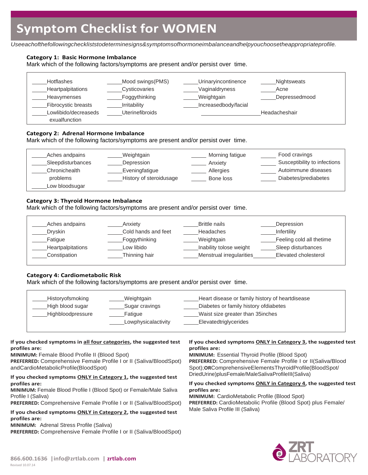## **Symptom Checklist for WOMEN**

*Useeachofthefollowingcheckliststodeterminesigns&symptomsofhormoneimbalanceandhelpyouchoosetheappropriateprofile.*

#### **Category 1: Basic Hormone Imbalance**

Mark which of the following factors/symptoms are present and/or persist over time.

| <b>Hotflashes</b><br>Heartpalpitations | Mood swings(PMS)<br>Cysticovaries | Urinaryincontinence<br>Vaginaldryness | <b>Nightsweats</b><br>Acne |
|----------------------------------------|-----------------------------------|---------------------------------------|----------------------------|
| <b>Heavymenses</b>                     | Foggythinking                     | <b>Weightgain</b>                     | Depressedmood              |
| Fibrocystic breasts                    | Irritability                      | Increasedbody/facial                  |                            |
| Lowlibido/decreaseds                   | Uterinefibroids                   |                                       | Headacheshair              |
| exualfunction                          |                                   |                                       |                            |

#### **Category 2: Adrenal Hormone Imbalance**

Mark which of the following factors/symptoms are present and/or persist over time.

| Aches andpains    | Weightgain              | Morning fatigue | Food cravings                |
|-------------------|-------------------------|-----------------|------------------------------|
| Sleepdisturbances | Depression              | Anxiety         | Susceptibility to infections |
| Chronichealth     | Eveningfatigue          | Allergies       | Autoimmune diseases          |
| problems          | History of steroidusage | Bone loss       | Diabetes/prediabetes         |
| Low bloodsugar    |                         |                 |                              |

#### **Category 3: Thyroid Hormone Imbalance**

Mark which of the following factors/symptoms are present and/or persist over time.

| Aches andpains    | Anxiety             | <b>Brittle nails</b>     | Depression               |
|-------------------|---------------------|--------------------------|--------------------------|
| <b>Dryskin</b>    | Cold hands and feet | <b>Headaches</b>         | Infertility              |
| Fatigue           | Foggythinking       | Weightgain               | Feeling cold all thetime |
| Heartpalpitations | Low libido          | Inability tolose weight  | Sleep disturbances       |
| Constipation      | Thinning hair       | Menstrual irregularities | Elevated cholesterol     |

#### **Category 4: Cardiometabolic Risk**

Mark which of the following factors/symptoms are present and/or persist over time.

| Historyofsmoking  | Weightgain          | Heart disease or family history of heartdisease |
|-------------------|---------------------|-------------------------------------------------|
| High blood sugar  | Sugar cravings      | Diabetes or family history ofdiabetes           |
| Highbloodpressure | Fatique             | Waist size greater than 35 inches               |
|                   | Lowphysicalactivity | Elevatedtriglycerides                           |

**If you checked symptoms in all four categories, the suggested test profiles are:**

**MINIMUM:** Female Blood Profile II (Blood Spot)

**PREFERRED:** Comprehensive Female Profile I or II (Saliva/BloodSpot) andCardioMetabolicProfile(BloodSpot)

#### **If you checked symptoms ONLY in Category 1, the suggested test profiles are:**

**MINIMUM:** Female Blood Profile I (Blood Spot) or Female/Male Saliva Profile I (Saliva)

**PREFERRED:** Comprehensive Female Profile I or II (Saliva/BloodSpot)

### **If you checked symptoms ONLY in Category 2, the suggested test profiles are:**

**MINIMUM:** Adrenal Stress Profile (Saliva)

**PREFERRED:** Comprehensive Female Profile I or II (Saliva/BloodSpot)

#### **If you checked symptoms ONLY in Category 3, the suggested test profiles are:**

**MINIMUM:** Essential Thyroid Profile (Blood Spot) **PREFERRED:** Comprehensive Female Profile I or II(Saliva/Blood Spot);**OR**ComprehensiveElementsThyroidProfile(BloodSpot/ DriedUrine)plusFemale/MaleSalivaProfileIII(Saliva)

#### **If you checked symptoms ONLY in Category 4, the suggested test profiles are:**

**MINIMUM:** CardioMetabolic Profile (Blood Spot) **PREFERRED:** CardioMetabolic Profile (Blood Spot) plus Female/ Male Saliva Profile III (Saliva)

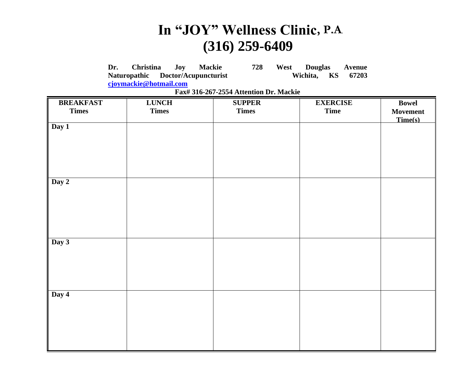## In "JOY" Wellness Clinic, P.A. **(316) 259-6409**

**Dr. Christina Joy Mackie 728 West Douglas Avenue Naturopathic Doctor/Acupuncturist Wichita, KS 67203 [cjoymackie@hotmail.com](mailto:cjoymackie@hotmail.com)**

**Fax# 316-267-2554 Attention Dr. Mackie**

| <b>BREAKFAST</b> | <b>LUNCH</b> | <b>SUPPER</b> | <b>EXERCISE</b> | <b>Bowel</b>    |
|------------------|--------------|---------------|-----------------|-----------------|
| <b>Times</b>     | <b>Times</b> | <b>Times</b>  | <b>Time</b>     | <b>Movement</b> |
| Day 1            |              |               |                 | Time(s)         |
|                  |              |               |                 |                 |
|                  |              |               |                 |                 |
|                  |              |               |                 |                 |
|                  |              |               |                 |                 |
|                  |              |               |                 |                 |
| Day 2            |              |               |                 |                 |
|                  |              |               |                 |                 |
|                  |              |               |                 |                 |
|                  |              |               |                 |                 |
|                  |              |               |                 |                 |
|                  |              |               |                 |                 |
| Day 3            |              |               |                 |                 |
|                  |              |               |                 |                 |
|                  |              |               |                 |                 |
|                  |              |               |                 |                 |
|                  |              |               |                 |                 |
| Day 4            |              |               |                 |                 |
|                  |              |               |                 |                 |
|                  |              |               |                 |                 |
|                  |              |               |                 |                 |
|                  |              |               |                 |                 |
|                  |              |               |                 |                 |